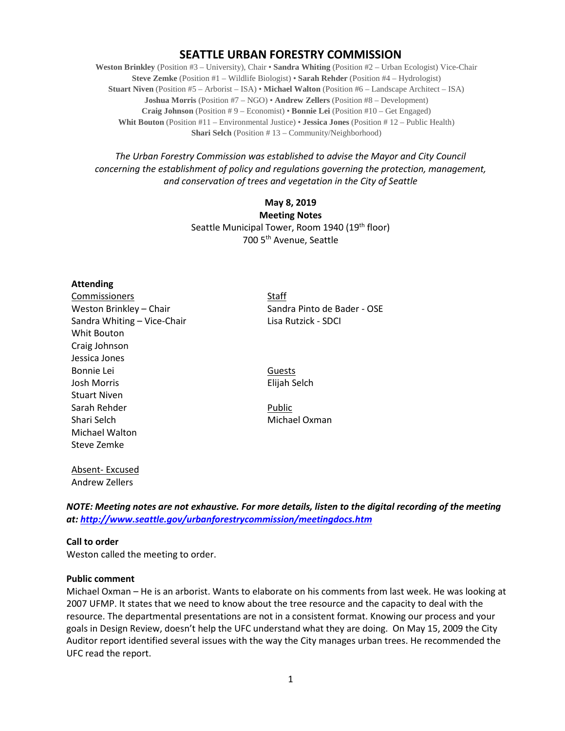# **SEATTLE URBAN FORESTRY COMMISSION**

**Weston Brinkley** (Position #3 – University), Chair • **Sandra Whiting** (Position #2 – Urban Ecologist) Vice-Chair **Steve Zemke** (Position #1 – Wildlife Biologist) • **Sarah Rehder** (Position #4 – Hydrologist) **Stuart Niven** (Position #5 – Arborist – ISA) • **Michael Walton** (Position #6 – Landscape Architect – ISA) **Joshua Morris** (Position #7 – NGO) • **Andrew Zellers** (Position #8 – Development) **Craig Johnson** (Position # 9 – Economist) • **Bonnie Lei** (Position #10 – Get Engaged) **Whit Bouton** (Position #11 – Environmental Justice) • **Jessica Jones** (Position # 12 – Public Health) **Shari Selch** (Position #13 – Community/Neighborhood)

*The Urban Forestry Commission was established to advise the Mayor and City Council concerning the establishment of policy and regulations governing the protection, management, and conservation of trees and vegetation in the City of Seattle*

> **May 8, 2019 Meeting Notes** Seattle Municipal Tower, Room 1940 (19<sup>th</sup> floor) 700 5th Avenue, Seattle

### **Attending**

Commissioners Staff Sandra Whiting – Vice-Chair Lisa Rutzick - SDCI Whit Bouton Craig Johnson Jessica Jones Bonnie Lei Guests Josh Morris Elijah Selch Stuart Niven Sarah Rehder Public Shari Selch Michael Oxman Michael Walton Steve Zemke

Weston Brinkley – Chair Sandra Pinto de Bader - OSE

Absent- Excused Andrew Zellers

*NOTE: Meeting notes are not exhaustive. For more details, listen to the digital recording of the meeting at:<http://www.seattle.gov/urbanforestrycommission/meetingdocs.htm>*

**Call to order** 

Weston called the meeting to order.

### **Public comment**

Michael Oxman – He is an arborist. Wants to elaborate on his comments from last week. He was looking at 2007 UFMP. It states that we need to know about the tree resource and the capacity to deal with the resource. The departmental presentations are not in a consistent format. Knowing our process and your goals in Design Review, doesn't help the UFC understand what they are doing. On May 15, 2009 the City Auditor report identified several issues with the way the City manages urban trees. He recommended the UFC read the report.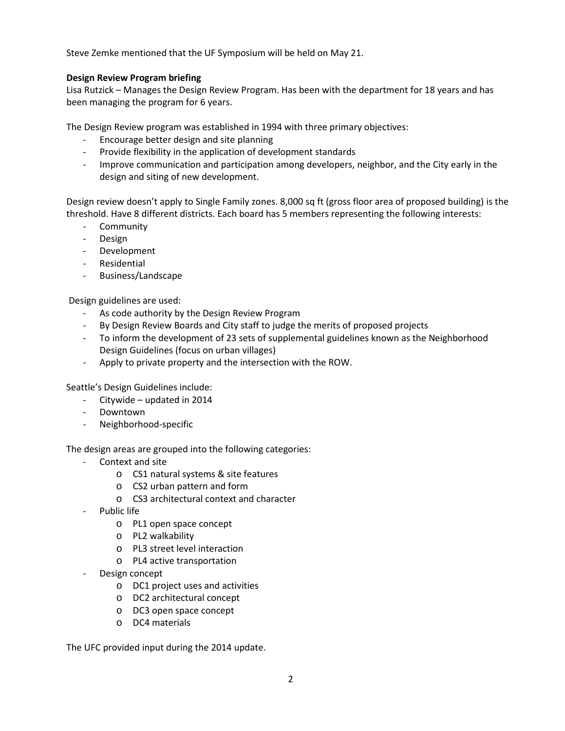Steve Zemke mentioned that the UF Symposium will be held on May 21.

## **Design Review Program briefing**

Lisa Rutzick – Manages the Design Review Program. Has been with the department for 18 years and has been managing the program for 6 years.

The Design Review program was established in 1994 with three primary objectives:

- Encourage better design and site planning
- Provide flexibility in the application of development standards
- Improve communication and participation among developers, neighbor, and the City early in the design and siting of new development.

Design review doesn't apply to Single Family zones. 8,000 sq ft (gross floor area of proposed building) is the threshold. Have 8 different districts. Each board has 5 members representing the following interests:

- Community
- Design
- Development
- Residential
- Business/Landscape

Design guidelines are used:

- As code authority by the Design Review Program
- By Design Review Boards and City staff to judge the merits of proposed projects
- To inform the development of 23 sets of supplemental guidelines known as the Neighborhood Design Guidelines (focus on urban villages)
- Apply to private property and the intersection with the ROW.

Seattle's Design Guidelines include:

- Citywide updated in 2014
- Downtown
- Neighborhood-specific

The design areas are grouped into the following categories:

- Context and site
	- o CS1 natural systems & site features
	- o CS2 urban pattern and form
	- o CS3 architectural context and character
- Public life
	- o PL1 open space concept
	- o PL2 walkability
	- o PL3 street level interaction
	- o PL4 active transportation
- Design concept
	- o DC1 project uses and activities
	- o DC2 architectural concept
	- o DC3 open space concept
	- o DC4 materials

The UFC provided input during the 2014 update.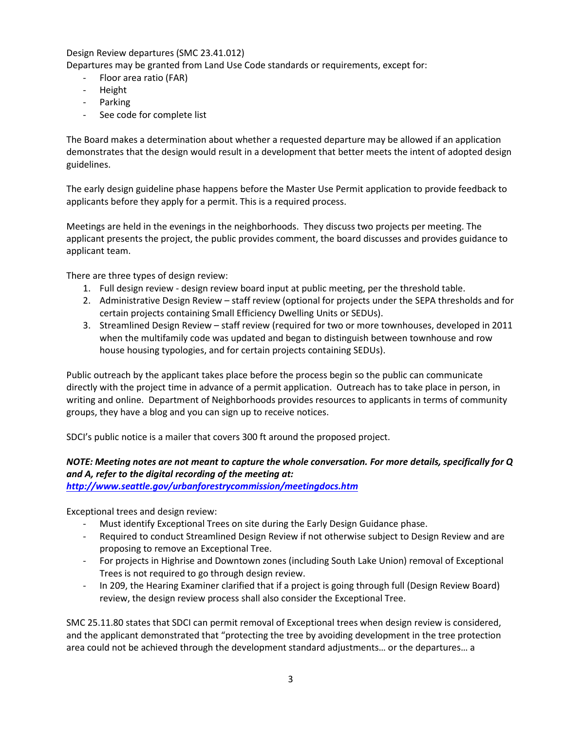Design Review departures (SMC 23.41.012)

Departures may be granted from Land Use Code standards or requirements, except for:

- Floor area ratio (FAR)
- Height
- Parking
- See code for complete list

The Board makes a determination about whether a requested departure may be allowed if an application demonstrates that the design would result in a development that better meets the intent of adopted design guidelines.

The early design guideline phase happens before the Master Use Permit application to provide feedback to applicants before they apply for a permit. This is a required process.

Meetings are held in the evenings in the neighborhoods. They discuss two projects per meeting. The applicant presents the project, the public provides comment, the board discusses and provides guidance to applicant team.

There are three types of design review:

- 1. Full design review design review board input at public meeting, per the threshold table.
- 2. Administrative Design Review staff review (optional for projects under the SEPA thresholds and for certain projects containing Small Efficiency Dwelling Units or SEDUs).
- 3. Streamlined Design Review staff review (required for two or more townhouses, developed in 2011 when the multifamily code was updated and began to distinguish between townhouse and row house housing typologies, and for certain projects containing SEDUs).

Public outreach by the applicant takes place before the process begin so the public can communicate directly with the project time in advance of a permit application. Outreach has to take place in person, in writing and online. Department of Neighborhoods provides resources to applicants in terms of community groups, they have a blog and you can sign up to receive notices.

SDCI's public notice is a mailer that covers 300 ft around the proposed project.

## *NOTE: Meeting notes are not meant to capture the whole conversation. For more details, specifically for Q and A, refer to the digital recording of the meeting at:*

*<http://www.seattle.gov/urbanforestrycommission/meetingdocs.htm>*

Exceptional trees and design review:

- Must identify Exceptional Trees on site during the Early Design Guidance phase.
- Required to conduct Streamlined Design Review if not otherwise subject to Design Review and are proposing to remove an Exceptional Tree.
- For projects in Highrise and Downtown zones (including South Lake Union) removal of Exceptional Trees is not required to go through design review.
- In 209, the Hearing Examiner clarified that if a project is going through full (Design Review Board) review, the design review process shall also consider the Exceptional Tree.

SMC 25.11.80 states that SDCI can permit removal of Exceptional trees when design review is considered, and the applicant demonstrated that "protecting the tree by avoiding development in the tree protection area could not be achieved through the development standard adjustments… or the departures… a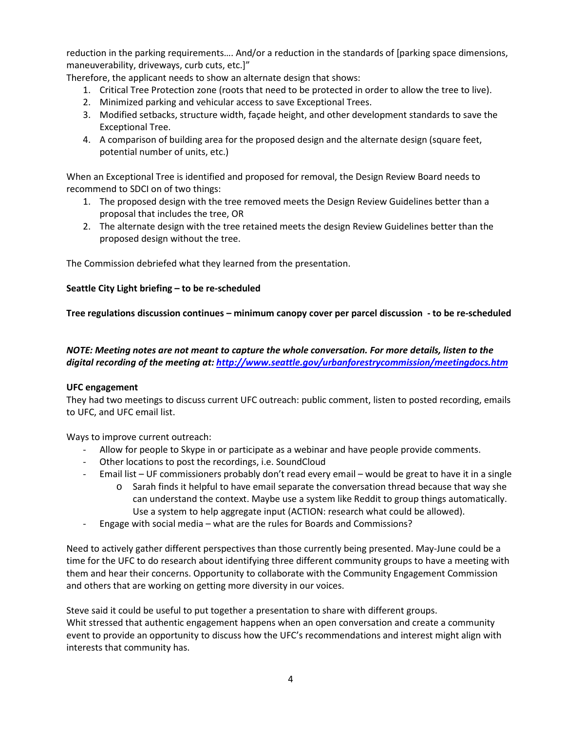reduction in the parking requirements…. And/or a reduction in the standards of [parking space dimensions, maneuverability, driveways, curb cuts, etc.]"

Therefore, the applicant needs to show an alternate design that shows:

- 1. Critical Tree Protection zone (roots that need to be protected in order to allow the tree to live).
- 2. Minimized parking and vehicular access to save Exceptional Trees.
- 3. Modified setbacks, structure width, façade height, and other development standards to save the Exceptional Tree.
- 4. A comparison of building area for the proposed design and the alternate design (square feet, potential number of units, etc.)

When an Exceptional Tree is identified and proposed for removal, the Design Review Board needs to recommend to SDCI on of two things:

- 1. The proposed design with the tree removed meets the Design Review Guidelines better than a proposal that includes the tree, OR
- 2. The alternate design with the tree retained meets the design Review Guidelines better than the proposed design without the tree.

The Commission debriefed what they learned from the presentation.

## **Seattle City Light briefing – to be re-scheduled**

**Tree regulations discussion continues – minimum canopy cover per parcel discussion - to be re-scheduled**

## *NOTE: Meeting notes are not meant to capture the whole conversation. For more details, listen to the digital recording of the meeting at[: http://www.seattle.gov/urbanforestrycommission/meetingdocs.htm](http://www.seattle.gov/urbanforestrycommission/meetingdocs.htm)*

### **UFC engagement**

They had two meetings to discuss current UFC outreach: public comment, listen to posted recording, emails to UFC, and UFC email list.

Ways to improve current outreach:

- Allow for people to Skype in or participate as a webinar and have people provide comments.
- Other locations to post the recordings, i.e. SoundCloud
- Email list UF commissioners probably don't read every email would be great to have it in a single
	- o Sarah finds it helpful to have email separate the conversation thread because that way she can understand the context. Maybe use a system like Reddit to group things automatically. Use a system to help aggregate input (ACTION: research what could be allowed).
- Engage with social media what are the rules for Boards and Commissions?

Need to actively gather different perspectives than those currently being presented. May-June could be a time for the UFC to do research about identifying three different community groups to have a meeting with them and hear their concerns. Opportunity to collaborate with the Community Engagement Commission and others that are working on getting more diversity in our voices.

Steve said it could be useful to put together a presentation to share with different groups. Whit stressed that authentic engagement happens when an open conversation and create a community event to provide an opportunity to discuss how the UFC's recommendations and interest might align with interests that community has.